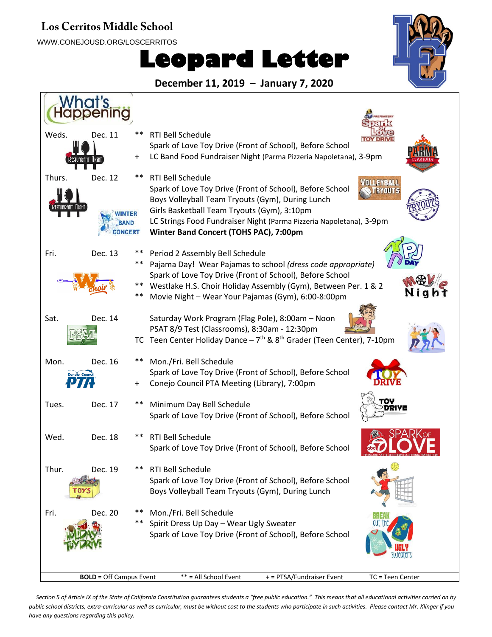#### **Los Cerritos Middle School**

WWW.CONEJOUSD.ORG/LOSCERRITOS

# **Leopard Letter**



**December 11, 2019 – January 7, 2020**



Section 5 of Article IX of the State of California Constitution guarantees students a "free public education." This means that all educational activities carried on by *public school districts, extra-curricular as well as curricular, must be without cost to the students who participate in such activities. Please contact Mr. Klinger if you have any questions regarding this policy.*